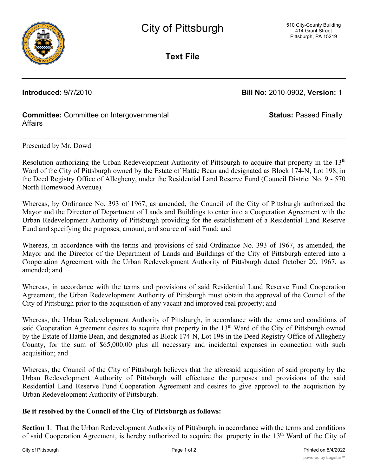

**Text File**

**Introduced:** 9/7/2010 **Bill No:** 2010-0902, **Version:** 1

**Status:** Passed Finally

## **Committee:** Committee on Intergovernmental Affairs

Presented by Mr. Dowd

Resolution authorizing the Urban Redevelopment Authority of Pittsburgh to acquire that property in the 13<sup>th</sup> Ward of the City of Pittsburgh owned by the Estate of Hattie Bean and designated as Block 174-N, Lot 198, in the Deed Registry Office of Allegheny, under the Residential Land Reserve Fund (Council District No. 9 - 570 North Homewood Avenue).

Whereas, by Ordinance No. 393 of 1967, as amended, the Council of the City of Pittsburgh authorized the Mayor and the Director of Department of Lands and Buildings to enter into a Cooperation Agreement with the Urban Redevelopment Authority of Pittsburgh providing for the establishment of a Residential Land Reserve Fund and specifying the purposes, amount, and source of said Fund; and

Whereas, in accordance with the terms and provisions of said Ordinance No. 393 of 1967, as amended, the Mayor and the Director of the Department of Lands and Buildings of the City of Pittsburgh entered into a Cooperation Agreement with the Urban Redevelopment Authority of Pittsburgh dated October 20, 1967, as amended; and

Whereas, in accordance with the terms and provisions of said Residential Land Reserve Fund Cooperation Agreement, the Urban Redevelopment Authority of Pittsburgh must obtain the approval of the Council of the City of Pittsburgh prior to the acquisition of any vacant and improved real property; and

Whereas, the Urban Redevelopment Authority of Pittsburgh, in accordance with the terms and conditions of said Cooperation Agreement desires to acquire that property in the 13<sup>th</sup> Ward of the City of Pittsburgh owned by the Estate of Hattie Bean, and designated as Block 174-N, Lot 198 in the Deed Registry Office of Allegheny County, for the sum of \$65,000.00 plus all necessary and incidental expenses in connection with such acquisition; and

Whereas, the Council of the City of Pittsburgh believes that the aforesaid acquisition of said property by the Urban Redevelopment Authority of Pittsburgh will effectuate the purposes and provisions of the said Residential Land Reserve Fund Cooperation Agreement and desires to give approval to the acquisition by Urban Redevelopment Authority of Pittsburgh.

### **Be it resolved by the Council of the City of Pittsburgh as follows:**

**Section 1**. That the Urban Redevelopment Authority of Pittsburgh, in accordance with the terms and conditions of said Cooperation Agreement, is hereby authorized to acquire that property in the 13<sup>th</sup> Ward of the City of